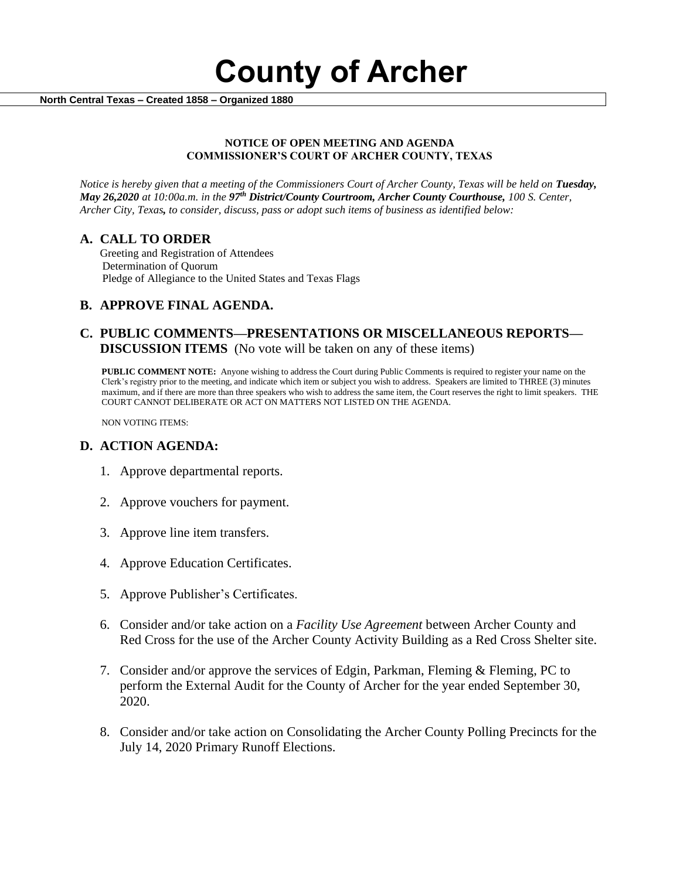**County of Archer** 

 **North Central Texas – Created 1858 – Organized 1880**

### **NOTICE OF OPEN MEETING AND AGENDA COMMISSIONER'S COURT OF ARCHER COUNTY, TEXAS**

*Notice is hereby given that a meeting of the Commissioners Court of Archer County, Texas will be held on Tuesday, May 26,2020 at 10:00a.m. in the 97th District/County Courtroom, Archer County Courthouse, 100 S. Center, Archer City, Texas, to consider, discuss, pass or adopt such items of business as identified below:*

## **A. CALL TO ORDER**

 Greeting and Registration of Attendees Determination of Quorum Pledge of Allegiance to the United States and Texas Flags

## **B. APPROVE FINAL AGENDA.**

## **C. PUBLIC COMMENTS—PRESENTATIONS OR MISCELLANEOUS REPORTS— DISCUSSION ITEMS** (No vote will be taken on any of these items)

**PUBLIC COMMENT NOTE:** Anyone wishing to address the Court during Public Comments is required to register your name on the Clerk's registry prior to the meeting, and indicate which item or subject you wish to address. Speakers are limited to THREE (3) minutes maximum, and if there are more than three speakers who wish to address the same item, the Court reserves the right to limit speakers. THE COURT CANNOT DELIBERATE OR ACT ON MATTERS NOT LISTED ON THE AGENDA.

NON VOTING ITEMS:

## **D. ACTION AGENDA:**

- 1. Approve departmental reports.
- 2. Approve vouchers for payment.
- 3. Approve line item transfers.
- 4. Approve Education Certificates.
- 5. Approve Publisher's Certificates.
- 6. Consider and/or take action on a *Facility Use Agreement* between Archer County and Red Cross for the use of the Archer County Activity Building as a Red Cross Shelter site.
- 7. Consider and/or approve the services of Edgin, Parkman, Fleming & Fleming, PC to perform the External Audit for the County of Archer for the year ended September 30, 2020.
- 8. Consider and/or take action on Consolidating the Archer County Polling Precincts for the July 14, 2020 Primary Runoff Elections.